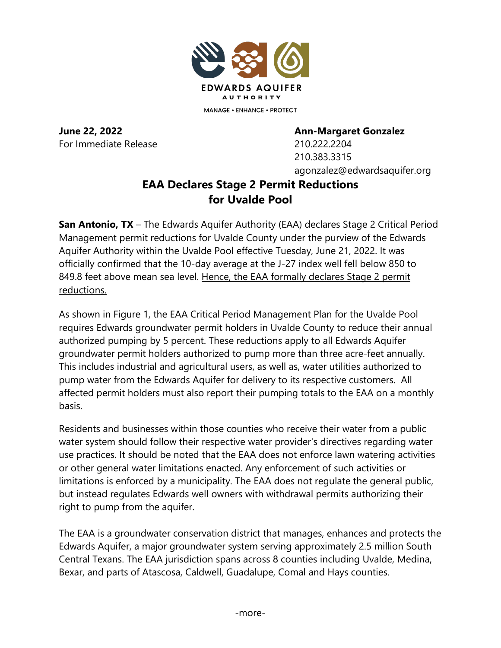

**MANAGE • ENHANCE • PROTECT** 

For Immediate Release 210.222.2204

**June 22, 2022 Ann-Margaret Gonzalez**

210.383.3315 agonzalez@edwardsaquifer.org

## **EAA Declares Stage 2 Permit Reductions for Uvalde Pool**

**San Antonio, TX** – The Edwards Aquifer Authority (EAA) declares Stage 2 Critical Period Management permit reductions for Uvalde County under the purview of the Edwards Aquifer Authority within the Uvalde Pool effective Tuesday, June 21, 2022. It was officially confirmed that the 10-day average at the J-27 index well fell below 850 to 849.8 feet above mean sea level. Hence, the EAA formally declares Stage 2 permit reductions.

As shown in Figure 1, the EAA Critical Period Management Plan for the Uvalde Pool requires Edwards groundwater permit holders in Uvalde County to reduce their annual authorized pumping by 5 percent. These reductions apply to all Edwards Aquifer groundwater permit holders authorized to pump more than three acre-feet annually. This includes industrial and agricultural users, as well as, water utilities authorized to pump water from the Edwards Aquifer for delivery to its respective customers. All affected permit holders must also report their pumping totals to the EAA on a monthly basis.

Residents and businesses within those counties who receive their water from a public water system should follow their respective water provider's directives regarding water use practices. It should be noted that the EAA does not enforce lawn watering activities or other general water limitations enacted. Any enforcement of such activities or limitations is enforced by a municipality. The EAA does not regulate the general public, but instead regulates Edwards well owners with withdrawal permits authorizing their right to pump from the aquifer.

The EAA is a groundwater conservation district that manages, enhances and protects the Edwards Aquifer, a major groundwater system serving approximately 2.5 million South Central Texans. The EAA jurisdiction spans across 8 counties including Uvalde, Medina, Bexar, and parts of Atascosa, Caldwell, Guadalupe, Comal and Hays counties.